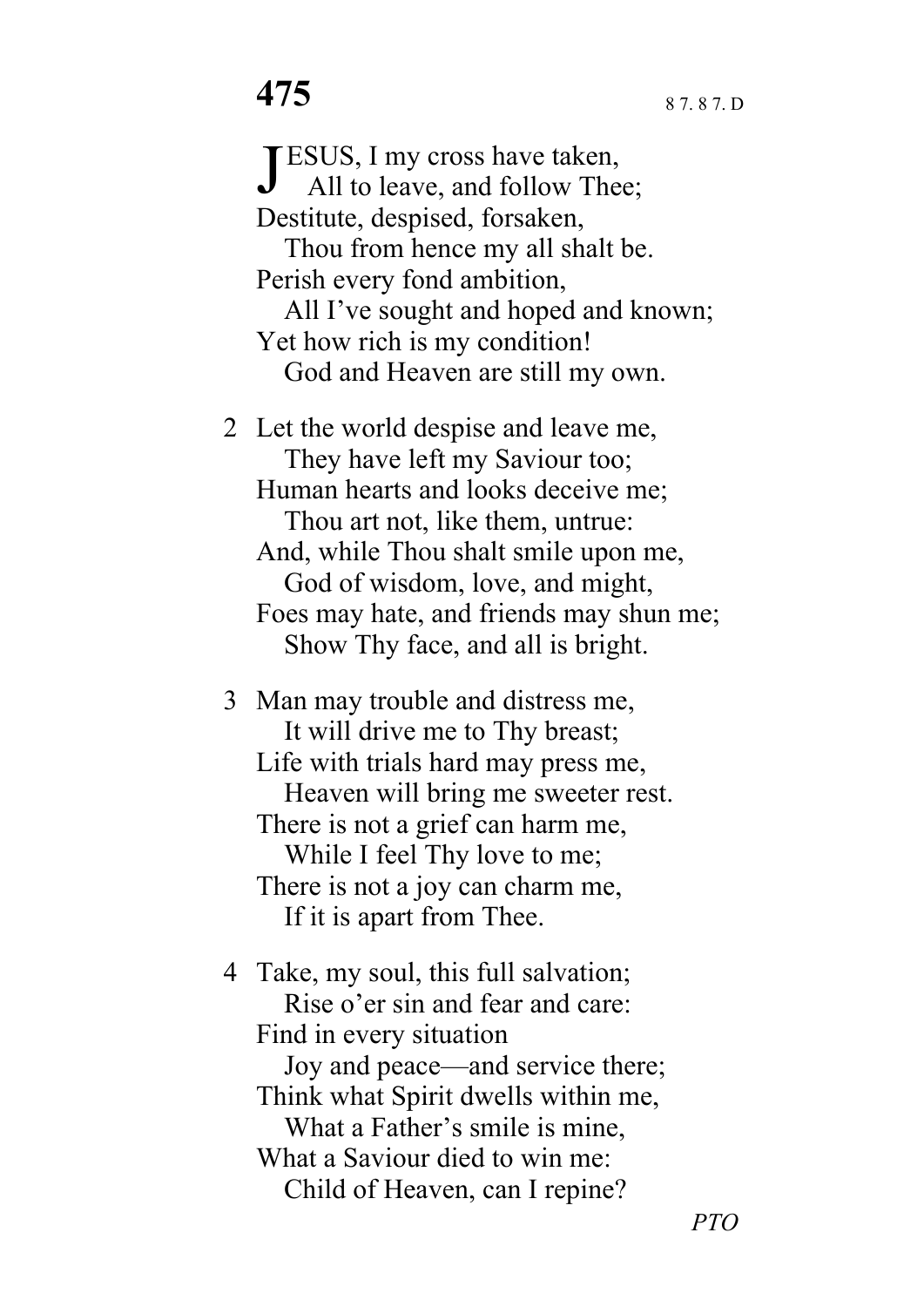JESUS, I my cross have taken,<br>All to leave, and follow Thee All to leave, and follow Thee; Destitute, despised, forsaken, Thou from hence my all shalt be. Perish every fond ambition, All I've sought and hoped and known; Yet how rich is my condition! God and Heaven are still my own. 2 Let the world despise and leave me,

 They have left my Saviour too; Human hearts and looks deceive me; Thou art not, like them, untrue: And, while Thou shalt smile upon me, God of wisdom, love, and might, Foes may hate, and friends may shun me; Show Thy face, and all is bright.

3 Man may trouble and distress me, It will drive me to Thy breast; Life with trials hard may press me, Heaven will bring me sweeter rest. There is not a grief can harm me, While I feel Thy love to me; There is not a joy can charm me, If it is apart from Thee.

4 Take, my soul, this full salvation; Rise o'er sin and fear and care: Find in every situation Joy and peace—and service there; Think what Spirit dwells within me, What a Father's smile is mine, What a Saviour died to win me: Child of Heaven, can I repine?